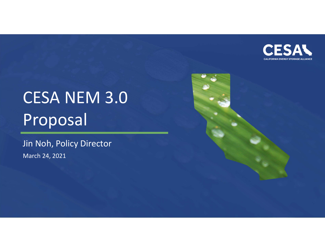

# CESA NEM 3.0 Proposal

Jin Noh, Policy DirectorMarch 24, 2021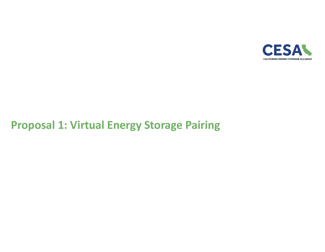

## **Proposal 1: Virtual Energy Storage Pairing**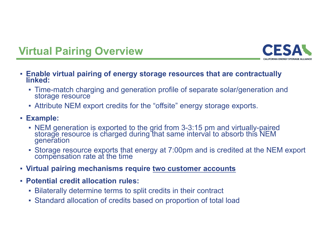



- **Enable virtual pairing of energy storage resources that are contractually linked:**
	- Time-match charging and generation profile of separate solar/generation and storage resource
	- Attribute NEM export credits for the "offsite" energy storage exports.
- **Example:** 
	- NEM generation is exported to the grid from 3-3:15 pm and virtually-paired storage resource is charged during that same interval to absorb this NEM generation
	- Storage resource exports that energy at 7:00pm and is credited at the NEM export compensation rate at the time
- **Virtual pairing mechanisms require two customer accounts**
- **Potential credit allocation rules:**
	- Bilaterally determine terms to split credits in their contract
	- Standard allocation of credits based on proportion of total load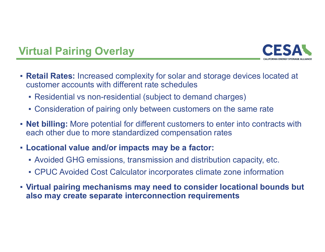

## **Virtual Pairing Overlay**

- **Retail Rates:** Increased complexity for solar and storage devices located at customer accounts with different rate schedules
	- $\textcolor{red}{\bullet}$  Residential vs non-residential (subject to demand charges)
	- Consideration of pairing only between customers on the same rate
- **Net billing:** More potential for different customers to enter into contracts with each other due to more standardized compensation rates
- **Locational value and/or impacts may be a factor:** 
	- $\textcolor{red}{\bullet}$  Avoided GHG emissions, transmission and distribution capacity, etc.
	- CPUC Avoided Cost Calculator incorporates climate zone information
- **Virtual pairing mechanisms may need to consider locational bounds but also may create separate interconnection requirements**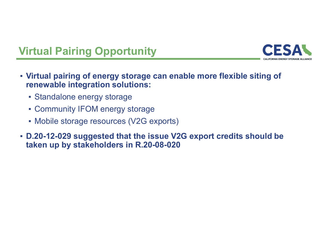

# **Virtual Pairing Opportunity**

- **Virtual pairing of energy storage can enable more flexible siting of renewable integration solutions:**
	- Standalone energy storage
	- Community IFOM energy storage
	- Mobile storage resources (V2G exports)
- **D.20-12-029 suggested that the issue V2G export credits should be taken up by stakeholders in R.20-08-020**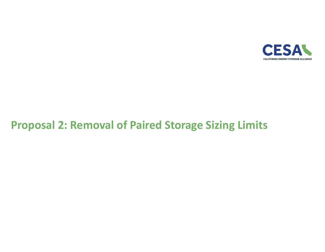

## **Proposal 2: Removal of Paired Storage Sizing Limits**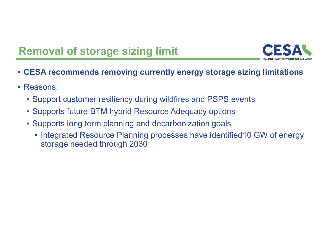## **Removal of storage sizing limit**



- **CESA recommends removing currently energy storage sizing limitations**
- **Reasons:** 
	- Support customer resiliency during wildfires and PSPS events
	- Supports future BTM hybrid Resource Adequacy options
	- Supports long term planning and decarbonization goals
		- Integrated Resource Planning processes have identified10 GW of energy storage needed through 2030